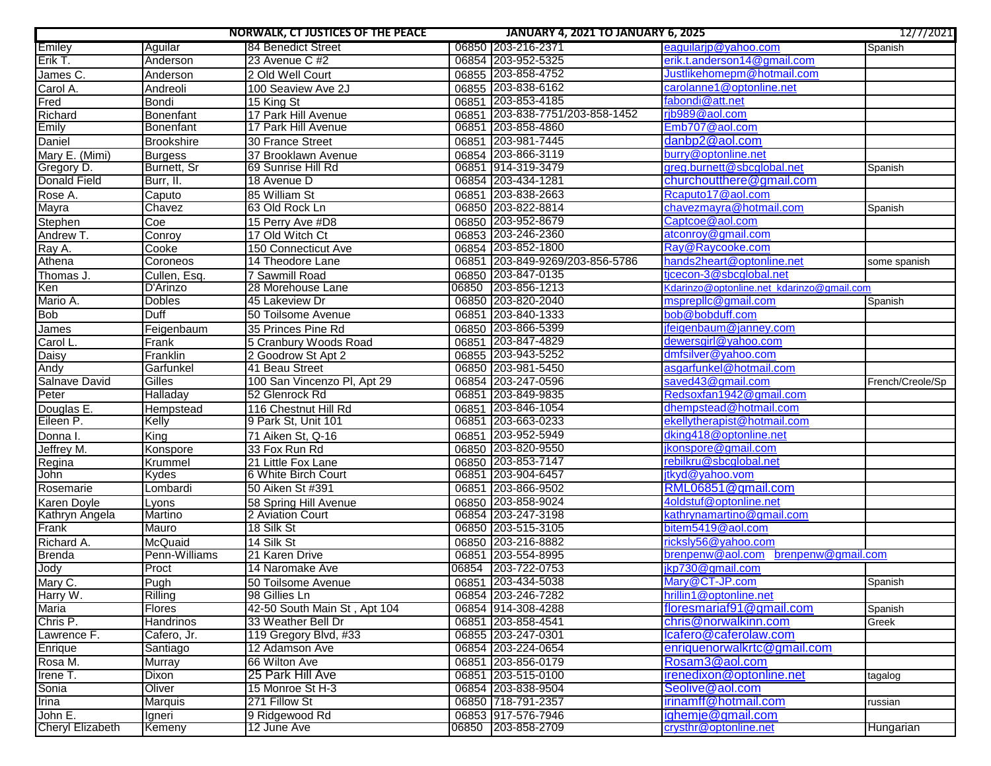|                         |                   | <b>NORWALK, CT JUSTICES OF THE PEACE</b> | <b>JANUARY 4, 2021 TO JANUARY 6, 2025</b> |                                           | 12/7/2021        |
|-------------------------|-------------------|------------------------------------------|-------------------------------------------|-------------------------------------------|------------------|
| Emiley                  | Aguilar           | 84 Benedict Street                       | 06850 203-216-2371                        | eaguilarip@yahoo.com                      | Spanish          |
| Erik T.                 | Anderson          | 23 Avenue C #2                           | 06854 203-952-5325                        | erik.t.anderson14@gmail.com               |                  |
| James C.                | Anderson          | 2 Old Well Court                         | 06855 203-858-4752                        | Justlikehomepm@hotmail.com                |                  |
| Carol A.                | Andreoli          | 100 Seaview Ave 2J                       | 06855 203-838-6162                        | carolanne1@optonline.net                  |                  |
| Fred                    | Bondi             | 15 King St                               | 06851 203-853-4185                        | fabondi@att.net                           |                  |
| Richard                 | Bonenfant         | 17 Park Hill Avenue                      | 06851 203-838-7751/203-858-1452           | rib989@aol.com                            |                  |
| Emily                   | <b>Bonenfant</b>  | 17 Park Hill Avenue                      | 06851 203-858-4860                        | Emb707@aol.com                            |                  |
| Daniel                  | <b>Brookshire</b> | 30 France Street                         | 06851 203-981-7445                        | danbp2@aol.com                            |                  |
| Mary E. (Mimi)          | <b>Burgess</b>    | 37 Brooklawn Avenue                      | 06854 203-866-3119                        | burry@optonline.net                       |                  |
| Gregory D.              | Burnett, Sr       | 69 Sunrise Hill Rd                       | 06851 914-319-3479                        | greg.burnett@sbcglobal.net                | Spanish          |
| <b>Donald Field</b>     | Burr, II.         | 18 Avenue D                              | 06854 203-434-1281                        | churchoutthere@gmail.com                  |                  |
| Rose A.                 | Caputo            | 85 William St                            | 06851 203-838-2663                        | Rcaputo17@aol.com                         |                  |
| <b>Mayra</b>            | Chavez            | 63 Old Rock Ln                           | 06850 203-822-8814                        | chavezmavra@hotmail.com                   | Spanish          |
| Stephen                 | Coe               | 15 Perry Ave #D8                         | 06850 203-952-8679                        | Captcoe@aol.com                           |                  |
| Andrew T.               | Conroy            | 17 Old Witch Ct                          | 06853 203-246-2360                        | atconroy@gmail.com                        |                  |
| Ray A.                  | Cooke             | 150 Connecticut Ave                      | 06854 203-852-1800                        | Ray@Raycooke.com                          |                  |
| Athena                  | Coroneos          | 14 Theodore Lane                         | 06851 203-849-9269/203-856-5786           | hands2heart@optonline.net                 | some spanish     |
| Thomas J.               | Cullen, Esq.      | 7 Sawmill Road                           | 06850 203-847-0135                        | tjcecon-3@sbcglobal.net                   |                  |
| <b>Ken</b>              | D'Arinzo          | 28 Morehouse Lane                        | 06850 203-856-1213                        | Kdarinzo@optonline.net kdarinzo@gmail.com |                  |
| Mario A.                | <b>Dobles</b>     | 45 Lakeview Dr                           | 06850 203-820-2040                        | msprepllc@gmail.com                       | Spanish          |
| <b>Bob</b>              | Duff              | 50 Toilsome Avenue                       | 06851 203-840-1333                        | bob@bobduff.com                           |                  |
| James                   | Feigenbaum        | 35 Princes Pine Rd                       | 06850 203-866-5399                        | jfeigenbaum@janney.com                    |                  |
| Carol L.                | Frank             | 5 Cranbury Woods Road                    | 06851 203-847-4829                        | dewersgirl@yahoo.com                      |                  |
| Daisy                   | Franklin          | 2 Goodrow St Apt 2                       | 06855 203-943-5252                        | dmfsilver@yahoo.com                       |                  |
| Andy                    | Garfunkel         | 41 Beau Street                           | 06850 203-981-5450                        | asgarfunkel@hotmail.com                   |                  |
| Salnave David           | Gilles            | 100 San Vincenzo PI, Apt 29              | 06854 203-247-0596                        | saved43@gmail.com                         | French/Creole/Sp |
| Peter                   | Halladay          | 52 Glenrock Rd                           | 06851 203-849-9835                        | Redsoxfan1942@gmail.com                   |                  |
| Douglas E.              | Hempstead         | 116 Chestnut Hill Rd                     | 06851 203-846-1054                        | dhempstead@hotmail.com                    |                  |
| Eileen P.               | Kelly             | 9 Park St, Unit 101                      | 06851 203-663-0233                        | ekellytherapist@hotmail.com               |                  |
| Donna I.                | $\overline{King}$ | 71 Aiken St, Q-16                        | 06851 203-952-5949                        | dking418@optonline.net                    |                  |
| Jeffrey M.              | Konspore          | 33 Fox Run Rd                            | 06850 203-820-9550                        | jkonspore@gmail.com                       |                  |
| Regina                  | Krummel           | 21 Little Fox Lane                       | 06850 203-853-7147                        | rebilkru@sbcglobal.net                    |                  |
| John                    | Kydes             | 6 White Birch Court                      | 06851 203-904-6457                        | jtkyd@yahoo.vom                           |                  |
| Rosemarie               | Lombardi          | 50 Aiken St #391                         | 06851 203-866-9502                        | RML06851@gmail.com                        |                  |
| Karen Doyle             | Lyons             | 58 Spring Hill Avenue                    | 06850 203-858-9024                        | 4oldstuf@optonline.net                    |                  |
| Kathryn Angela          | Martino           | 2 Aviation Court                         | 06854 203-247-3198                        | kathrynamartino@gmail.com                 |                  |
| Frank                   | Mauro             | 18 Silk St                               | 06850 203-515-3105                        | bitem5419@aol.com                         |                  |
| Richard A.              | McQuaid           | 14 Silk St                               | 06850 203-216-8882                        | ricksly56@yahoo.com                       |                  |
| Brenda                  | Penn-Williams     | 21 Karen Drive                           | 06851 203-554-8995                        | brenpenw@aol.com brenpenw@gmail.com       |                  |
| Jody                    | Proct             | 14 Naromake Ave                          | 06854 203-722-0753                        | jkp730@gmail.com                          |                  |
| Mary C.                 | Pugh              | 50 Toilsome Avenue                       | 06851 203-434-5038                        | Mary@CT-JP.com                            | Spanish          |
| Harry W.                | Rilling           | 98 Gillies Ln                            | 06854 203-246-7282                        | hrillin1@optonline.net                    |                  |
| Maria                   | <b>Flores</b>     | 42-50 South Main St, Apt 104             | 06854 914-308-4288                        | floresmariaf91@gmail.com                  | Spanish          |
| Chris P.                | Handrinos         | 33 Weather Bell Dr                       | 06851 203-858-4541                        | chris@norwalkinn.com                      | Greek            |
| Lawrence F.             | Cafero, Jr.       | 119 Gregory Blvd, #33                    | 06855 203-247-0301                        | lcafero@caferolaw.com                     |                  |
| Enrique                 | Santiago          | 12 Adamson Ave                           | 06854 203-224-0654                        | enriquenorwalkrtc@gmail.com               |                  |
| Rosa M.                 | <b>Murray</b>     | 66 Wilton Ave                            | 06851 203-856-0179                        | Rosam3@aol.com                            |                  |
| Irene T.                | Dixon             | 25 Park Hill Ave                         | 06851 203-515-0100                        | irenedixon@optonline.net                  | tagalog          |
| Sonia                   | Oliver            | 15 Monroe St H-3                         | 06854 203-838-9504                        | Seolive@aol.com                           |                  |
| Irina                   | <b>Marquis</b>    | 271 Fillow St                            | 06850 718-791-2357                        | irinamff@hotmail.com                      | russian          |
| John E.                 | Igneri            | 9 Ridgewood Rd                           | 06853 917-576-7946                        | ighemje@gmail.com                         |                  |
| <b>Cheryl Elizabeth</b> | Kemeny            | 12 June Ave                              | 06850 203-858-2709                        | crysthr@optonline.net                     | Hungarian        |
|                         |                   |                                          |                                           |                                           |                  |